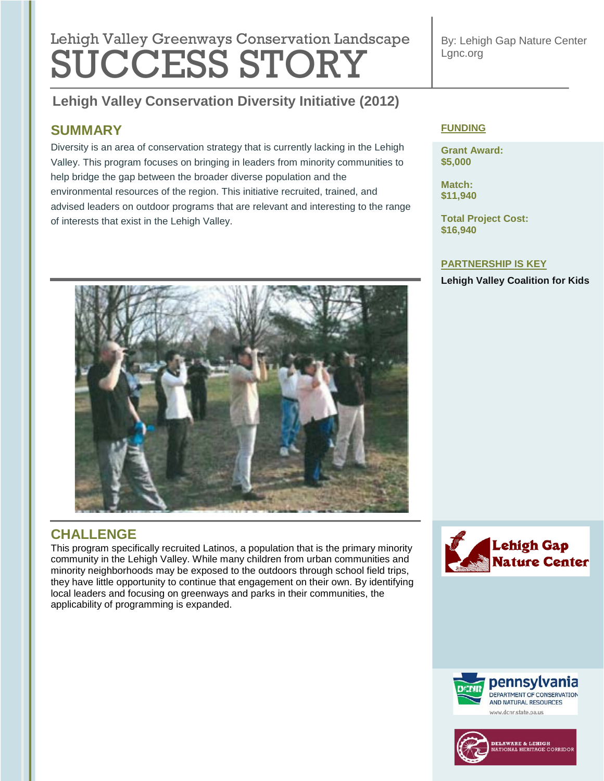# **Lebish Velley Que environmental regulation Lengtheres** Lehigh Valley Greenways Conservation Landscape SUCCESS STORY

**Lehigh Valley Conservation Diversity Initiative (2012) Tree Revitalization (2011)**

### **SUMMARY**

Diversity is an area of conservation strategy that is currently lacking in the Lehigh Valley. This program focuses on bringing in leaders from minority communities to help bridge the gap between the broader diverse population and the environmental resources of the region. This initiative recruited, trained, and advised leaders on outdoor programs that are relevant and interesting to the range of interests that exist in the Lehigh Valley.

### **FUNDING**

**Grant Award: \$5,000**

**Match: \$11,940**

**Total Project Cost: \$16,940**

### **PARTNERSHIP IS KEY**

**Lehigh Valley Coalition for Kids**



# **CHALLENGE**

This program specifically recruited Latinos, a population that is the primary minority community in the Lehigh Valley. While many children from urban communities and minority neighborhoods may be exposed to the outdoors through school field trips, they have little opportunity to continue that engagement on their own. By identifying local leaders and focusing on greenways and parks in their communities, the applicability of programming is expanded.



### By: Lehigh Gap Nature Center Lgnc.org



pennsylvania DEPARTMENT OF CONSERVATION AND NATURAL RESOURCES